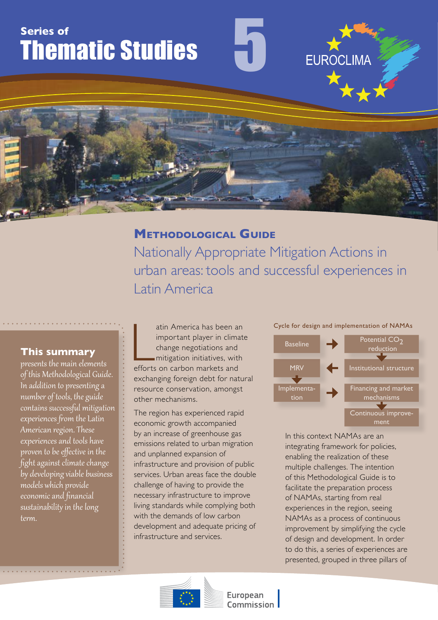# **Series of** Thematic Studies

# **Methodological Guide**

Nationally Appropriate Mitigation Actions in urban areas: tools and successful experiences in Latin America

5

# **This summary**

presents the main elements of this Methodological Guide. In addition to presenting a number of tools, the guide contains successful mitigation experiences from the Latin American region. These experiences and tools have proven to be effective in the fight against climate change by developing viable business models which provide economic and financial sustainability in the long term.

atin America has been and<br>
important player in clima<br>
change negotiations and<br>
mitigation initiatives, with<br>
efforts on carbon markets and atin America has been an important player in climate change negotiations and mitigation initiatives, with exchanging foreign debt for natural resource conservation, amongst other mechanisms.

The region has experienced rapid economic growth accompanied by an increase of greenhouse gas emissions related to urban migration and unplanned expansion of infrastructure and provision of public services. Urban areas face the double challenge of having to provide the necessary infrastructure to improve living standards while complying both with the demands of low carbon development and adequate pricing of infrastructure and services.

#### Cycle for design and implementation of NAMAs

**EUROCLIMA** 



In this context NAMAs are an integrating framework for policies, enabling the realization of these multiple challenges. The intention of this Methodological Guide is to facilitate the preparation process of NAMAs, starting from real experiences in the region, seeing NAMAs as a process of continuous improvement by simplifying the cycle of design and development. In order to do this, a series of experiences are presented, grouped in three pillars of



European Commission